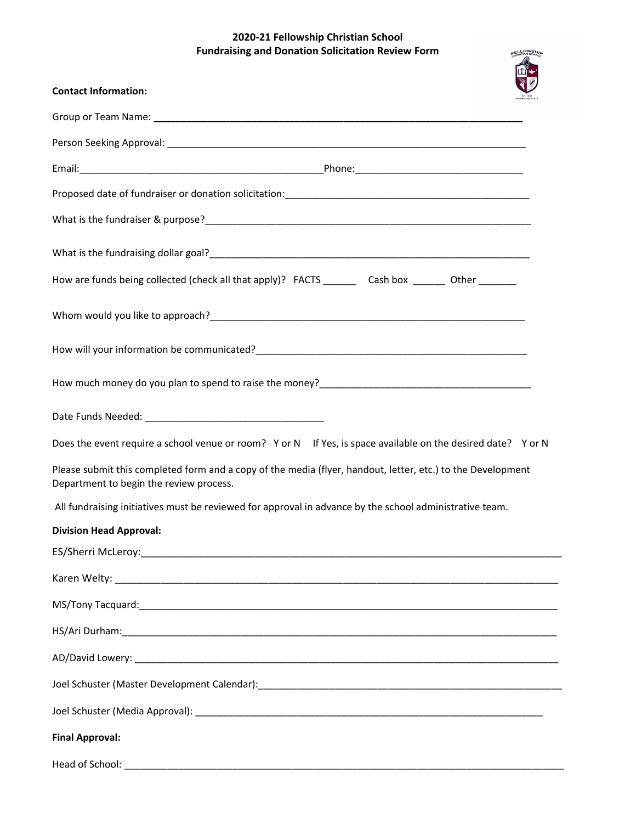## **2020-21 Fellowship Christian School Fundraising and Donation Solicitation Review Form**

FELLOWSHIP

| <b>Contact Information:</b>                                                                                                                            |  |
|--------------------------------------------------------------------------------------------------------------------------------------------------------|--|
|                                                                                                                                                        |  |
|                                                                                                                                                        |  |
|                                                                                                                                                        |  |
|                                                                                                                                                        |  |
|                                                                                                                                                        |  |
| What is the fundraising dollar goal?<br><u> Unauthornalistic of the fundraising dollar goal?</u>                                                       |  |
| How are funds being collected (check all that apply)? FACTS __________ Cash box _________ Other _________                                              |  |
|                                                                                                                                                        |  |
|                                                                                                                                                        |  |
|                                                                                                                                                        |  |
|                                                                                                                                                        |  |
| Does the event require a school venue or room? Y or N If Yes, is space available on the desired date? Y or N                                           |  |
| Please submit this completed form and a copy of the media (flyer, handout, letter, etc.) to the Development<br>Department to begin the review process. |  |
| All fundraising initiatives must be reviewed for approval in advance by the school administrative team.                                                |  |
| <b>Division Head Approval:</b>                                                                                                                         |  |
|                                                                                                                                                        |  |
|                                                                                                                                                        |  |
|                                                                                                                                                        |  |
|                                                                                                                                                        |  |
|                                                                                                                                                        |  |
|                                                                                                                                                        |  |
|                                                                                                                                                        |  |
| <b>Final Approval:</b>                                                                                                                                 |  |
|                                                                                                                                                        |  |